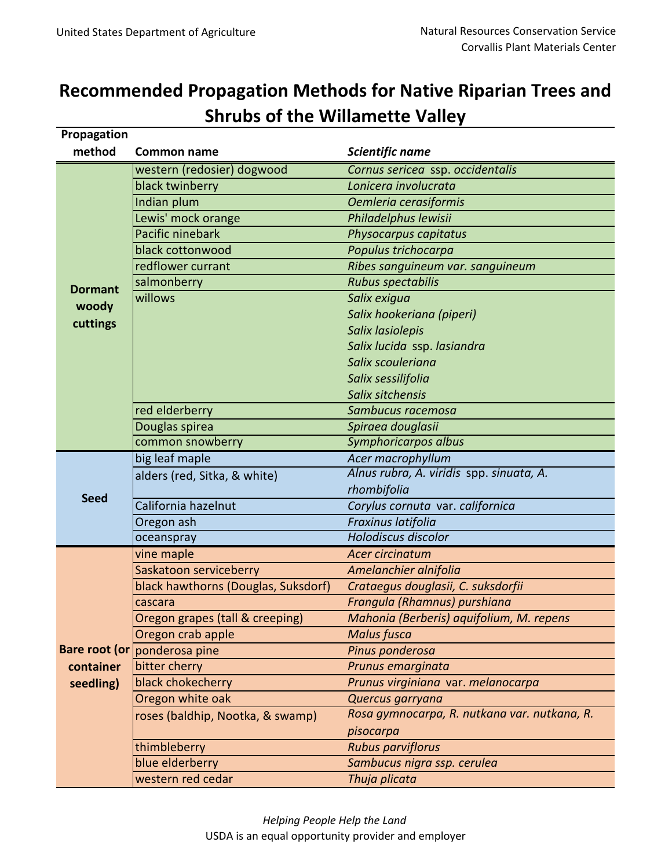## **Recommended Propagation Methods for Native Riparian Trees and Shrubs of the Willamette Valley**

| Propagation    |                                     |                                              |
|----------------|-------------------------------------|----------------------------------------------|
| method         | <b>Common name</b>                  | Scientific name                              |
| <b>Dormant</b> | western (redosier) dogwood          | Cornus sericea ssp. occidentalis             |
|                | black twinberry                     | Lonicera involucrata                         |
|                | Indian plum                         | Oemleria cerasiformis                        |
|                | Lewis' mock orange                  | Philadelphus lewisii                         |
|                | Pacific ninebark                    | Physocarpus capitatus                        |
|                | black cottonwood                    | Populus trichocarpa                          |
|                | redflower currant                   | Ribes sanguineum var. sanguineum             |
|                | salmonberry                         | <b>Rubus spectabilis</b>                     |
|                | willows                             | Salix exigua                                 |
| woody          |                                     | Salix hookeriana (piperi)                    |
| cuttings       |                                     | Salix lasiolepis                             |
|                |                                     | Salix lucida ssp. lasiandra                  |
|                |                                     | Salix scouleriana                            |
|                |                                     | Salix sessilifolia                           |
|                |                                     | Salix sitchensis                             |
|                | red elderberry                      | Sambucus racemosa                            |
|                | Douglas spirea                      | Spiraea douglasii                            |
|                | common snowberry                    | <b>Symphoricarpos albus</b>                  |
| <b>Seed</b>    | big leaf maple                      | Acer macrophyllum                            |
|                | alders (red, Sitka, & white)        | Alnus rubra, A. viridis spp. sinuata, A.     |
|                |                                     | rhombifolia                                  |
|                | California hazelnut                 | Corylus cornuta var. californica             |
|                | Oregon ash                          | Fraxinus latifolia                           |
|                | oceanspray                          | <b>Holodiscus discolor</b>                   |
|                | vine maple                          | Acer circinatum                              |
|                | Saskatoon serviceberry              | Amelanchier alnifolia                        |
|                | black hawthorns (Douglas, Suksdorf) | Crataegus douglasii, C. suksdorfii           |
|                | cascara                             | Frangula (Rhamnus) purshiana                 |
|                | Oregon grapes (tall & creeping)     | Mahonia (Berberis) aquifolium, M. repens     |
|                | Oregon crab apple                   | <b>Malus fusca</b>                           |
|                | Bare root (or ponderosa pine        | Pinus ponderosa                              |
| container      | bitter cherry                       | Prunus emarginata                            |
| seedling)      | black chokecherry                   | Prunus virginiana var. melanocarpa           |
|                | Oregon white oak                    | Quercus garryana                             |
|                | roses (baldhip, Nootka, & swamp)    | Rosa gymnocarpa, R. nutkana var. nutkana, R. |
|                |                                     | pisocarpa                                    |
|                | thimbleberry                        | <b>Rubus parviflorus</b>                     |
|                | blue elderberry                     | Sambucus nigra ssp. cerulea                  |
|                | western red cedar                   | Thuja plicata                                |